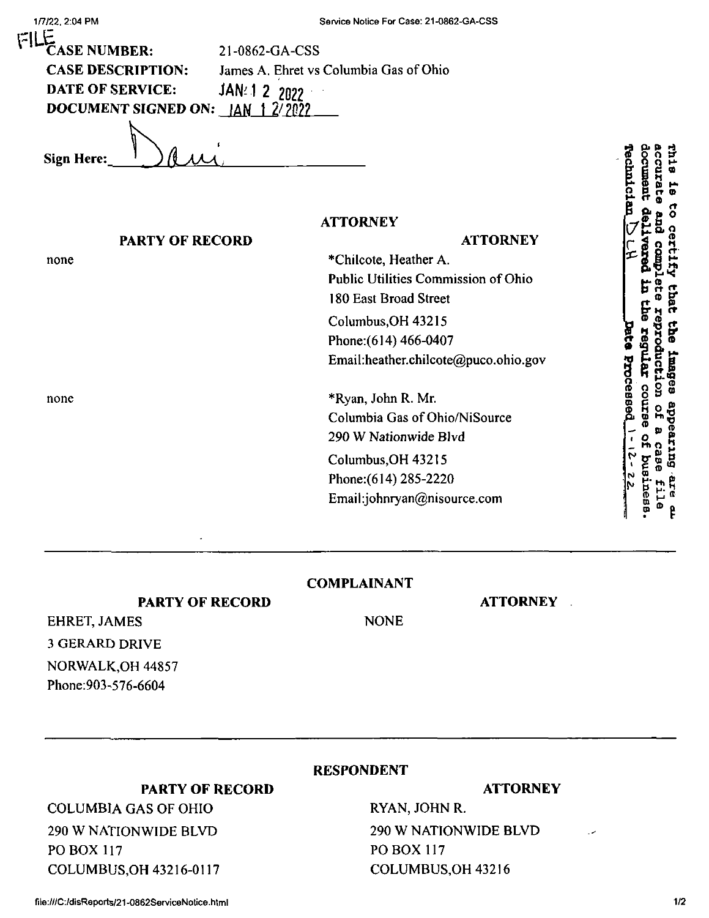| 1/7/22, 2:04 PM                | Service Notice For Case: 21-0862-GA-CSS |                                                   |
|--------------------------------|-----------------------------------------|---------------------------------------------------|
| ڀتا<br><b>CASE NUMBER:</b>     | 21-0862-GA-CSS                          |                                                   |
| <b>CASE DESCRIPTION:</b>       | James A. Ehret vs Columbia Gas of Ohio  |                                                   |
| <b>DATE OF SERVICE:</b>        | JAN: 1 2 2022                           |                                                   |
| <b>DOCUMENT SIGNED ON: JAN</b> |                                         |                                                   |
| Sign Here:                     |                                         | <b>Th18</b><br><b>Fechan</b><br><b>ccura</b><br>등 |
|                                | <b>ATTORNEY</b>                         | ទី                                                |
| <b>PARTY OF RECORD</b>         | <b>ATTORNEY</b>                         | Ä                                                 |
| none                           | *Chilcote, Heather A.                   | g                                                 |
|                                | Public Utilities Commission of Ohio     |                                                   |
|                                | 180 East Broad Street                   | <b>Lhat</b>                                       |
|                                | Columbus, OH 43215                      |                                                   |
|                                | Phone: (614) 466-0407                   | che                                               |
|                                | Email:heather.chilcote@puco.ohio.gov    | duct<br>rmagees                                   |
| none                           | *Ryan, John R. Mr.                      | PIRCEB                                            |
|                                | Columbia Gas of Ohio/NiSource           | appea                                             |
|                                | 290 W Nationwide Blvd                   |                                                   |
|                                | Columbus, OH 43215                      | <b>Butz</b>                                       |
|                                | Phone: (614) 285-2220                   |                                                   |
|                                | Email:johnryan@nisource.com             | ም<br>አ<br><b>Dead</b>                             |

## **COMPLAINANT**

**PARTY OF RECORD**

**PARTY OF RECORD**

3 GERARD DRIVE EHRET, JAMES NORWALK,OH 44857 Phone:903-576-6604

 $\vert \tilde{u} \vert \vert$ 

NONE

**ATTORNEY**

## **RESPONDENT**

## **ATTORNEY**

RYAN, JOHN R. 290 W NATIONWIDE BLVD PO BOX 117 COLUMBUS,OH 43216

## COLUMBUS,OH 43216-0117

COLUMBIA GAS OF OHIO

290 W NATIONWIDE BLVD

PO BOX 117